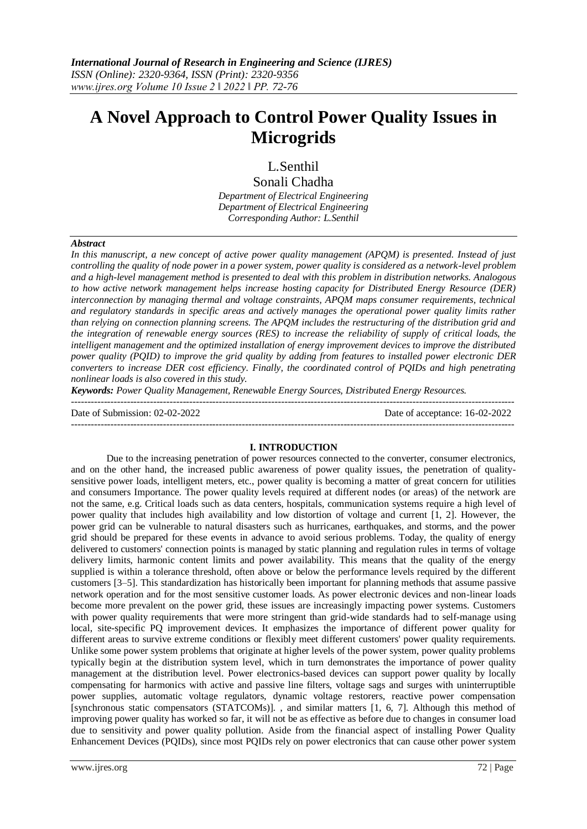# **A Novel Approach to Control Power Quality Issues in Microgrids**

# L.Senthil

Sonali Chadha *Department of Electrical Engineering Department of Electrical Engineering Corresponding Author: L.Senthil*

# *Abstract*

*In this manuscript, a new concept of active power quality management (APQM) is presented. Instead of just controlling the quality of node power in a power system, power quality is considered as a network-level problem and a high-level management method is presented to deal with this problem in distribution networks. Analogous to how active network management helps increase hosting capacity for Distributed Energy Resource (DER) interconnection by managing thermal and voltage constraints, APQM maps consumer requirements, technical and regulatory standards in specific areas and actively manages the operational power quality limits rather than relying on connection planning screens. The APQM includes the restructuring of the distribution grid and the integration of renewable energy sources (RES) to increase the reliability of supply of critical loads, the intelligent management and the optimized installation of energy improvement devices to improve the distributed power quality (PQID) to improve the grid quality by adding from features to installed power electronic DER converters to increase DER cost efficiency. Finally, the coordinated control of PQIDs and high penetrating nonlinear loads is also covered in this study.*

*Keywords: Power Quality Management, Renewable Energy Sources, Distributed Energy Resources.*

| Date of Submission: 02-02-2022 | Date of acceptance: 16-02-2022 |
|--------------------------------|--------------------------------|
|                                |                                |

# **I. INTRODUCTION**

Due to the increasing penetration of power resources connected to the converter, consumer electronics, and on the other hand, the increased public awareness of power quality issues, the penetration of qualitysensitive power loads, intelligent meters, etc., power quality is becoming a matter of great concern for utilities and consumers Importance. The power quality levels required at different nodes (or areas) of the network are not the same, e.g. Critical loads such as data centers, hospitals, communication systems require a high level of power quality that includes high availability and low distortion of voltage and current [1, 2]. However, the power grid can be vulnerable to natural disasters such as hurricanes, earthquakes, and storms, and the power grid should be prepared for these events in advance to avoid serious problems. Today, the quality of energy delivered to customers' connection points is managed by static planning and regulation rules in terms of voltage delivery limits, harmonic content limits and power availability. This means that the quality of the energy supplied is within a tolerance threshold, often above or below the performance levels required by the different customers [3–5]. This standardization has historically been important for planning methods that assume passive network operation and for the most sensitive customer loads. As power electronic devices and non-linear loads become more prevalent on the power grid, these issues are increasingly impacting power systems. Customers with power quality requirements that were more stringent than grid-wide standards had to self-manage using local, site-specific PQ improvement devices. It emphasizes the importance of different power quality for different areas to survive extreme conditions or flexibly meet different customers' power quality requirements. Unlike some power system problems that originate at higher levels of the power system, power quality problems typically begin at the distribution system level, which in turn demonstrates the importance of power quality management at the distribution level. Power electronics-based devices can support power quality by locally compensating for harmonics with active and passive line filters, voltage sags and surges with uninterruptible power supplies, automatic voltage regulators, dynamic voltage restorers, reactive power compensation [synchronous static compensators (STATCOMs)]. , and similar matters [1, 6, 7]. Although this method of improving power quality has worked so far, it will not be as effective as before due to changes in consumer load due to sensitivity and power quality pollution. Aside from the financial aspect of installing Power Quality Enhancement Devices (PQIDs), since most PQIDs rely on power electronics that can cause other power system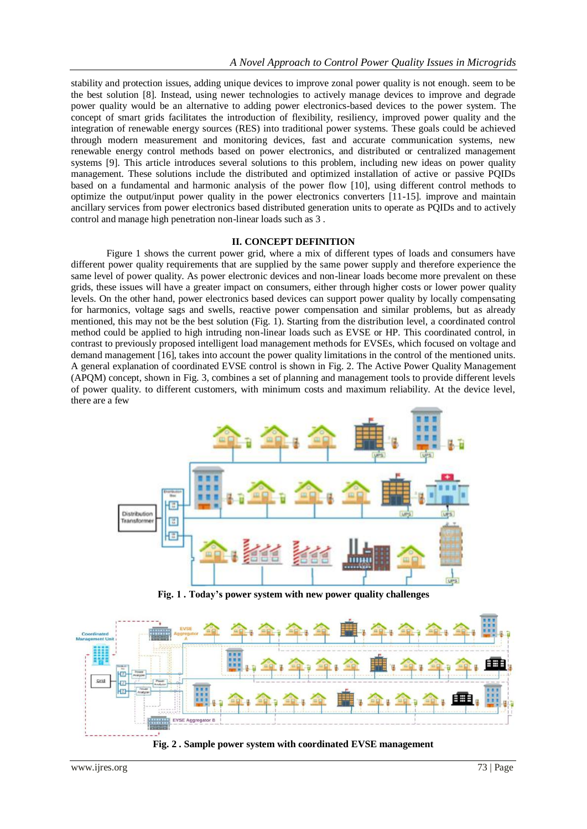stability and protection issues, adding unique devices to improve zonal power quality is not enough. seem to be the best solution [8]. Instead, using newer technologies to actively manage devices to improve and degrade power quality would be an alternative to adding power electronics-based devices to the power system. The concept of smart grids facilitates the introduction of flexibility, resiliency, improved power quality and the integration of renewable energy sources (RES) into traditional power systems. These goals could be achieved through modern measurement and monitoring devices, fast and accurate communication systems, new renewable energy control methods based on power electronics, and distributed or centralized management systems [9]. This article introduces several solutions to this problem, including new ideas on power quality management. These solutions include the distributed and optimized installation of active or passive PQIDs based on a fundamental and harmonic analysis of the power flow [10], using different control methods to optimize the output/input power quality in the power electronics converters [11-15]. improve and maintain ancillary services from power electronics based distributed generation units to operate as PQIDs and to actively control and manage high penetration non-linear loads such as 3 .

# **II. CONCEPT DEFINITION**

Figure 1 shows the current power grid, where a mix of different types of loads and consumers have different power quality requirements that are supplied by the same power supply and therefore experience the same level of power quality. As power electronic devices and non-linear loads become more prevalent on these grids, these issues will have a greater impact on consumers, either through higher costs or lower power quality levels. On the other hand, power electronics based devices can support power quality by locally compensating for harmonics, voltage sags and swells, reactive power compensation and similar problems, but as already mentioned, this may not be the best solution (Fig. 1). Starting from the distribution level, a coordinated control method could be applied to high intruding non-linear loads such as EVSE or HP. This coordinated control, in contrast to previously proposed intelligent load management methods for EVSEs, which focused on voltage and demand management [16], takes into account the power quality limitations in the control of the mentioned units. A general explanation of coordinated EVSE control is shown in Fig. 2. The Active Power Quality Management (APQM) concept, shown in Fig. 3, combines a set of planning and management tools to provide different levels of power quality. to different customers, with minimum costs and maximum reliability. At the device level, there are a few



**Fig. 1 . Today's power system with new power quality challenges**



**Fig. 2 . Sample power system with coordinated EVSE management**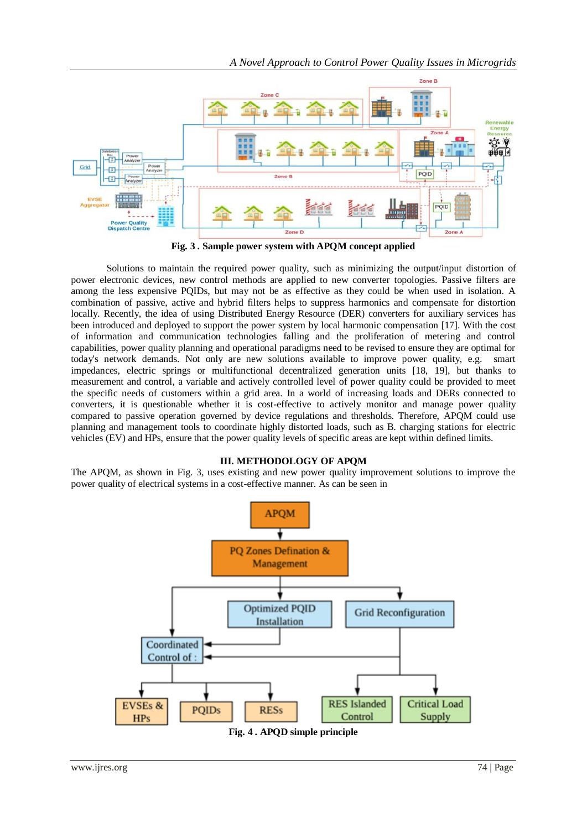

**Fig. 3 . Sample power system with APQM concept applied**

Solutions to maintain the required power quality, such as minimizing the output/input distortion of power electronic devices, new control methods are applied to new converter topologies. Passive filters are among the less expensive PQIDs, but may not be as effective as they could be when used in isolation. A combination of passive, active and hybrid filters helps to suppress harmonics and compensate for distortion locally. Recently, the idea of using Distributed Energy Resource (DER) converters for auxiliary services has been introduced and deployed to support the power system by local harmonic compensation [17]. With the cost of information and communication technologies falling and the proliferation of metering and control capabilities, power quality planning and operational paradigms need to be revised to ensure they are optimal for today's network demands. Not only are new solutions available to improve power quality, e.g. smart impedances, electric springs or multifunctional decentralized generation units [18, 19], but thanks to measurement and control, a variable and actively controlled level of power quality could be provided to meet the specific needs of customers within a grid area. In a world of increasing loads and DERs connected to converters, it is questionable whether it is cost-effective to actively monitor and manage power quality compared to passive operation governed by device regulations and thresholds. Therefore, APQM could use planning and management tools to coordinate highly distorted loads, such as B. charging stations for electric vehicles (EV) and HPs, ensure that the power quality levels of specific areas are kept within defined limits.

# **III. METHODOLOGY OF APQM**

The APQM, as shown in Fig. 3, uses existing and new power quality improvement solutions to improve the power quality of electrical systems in a cost-effective manner. As can be seen in

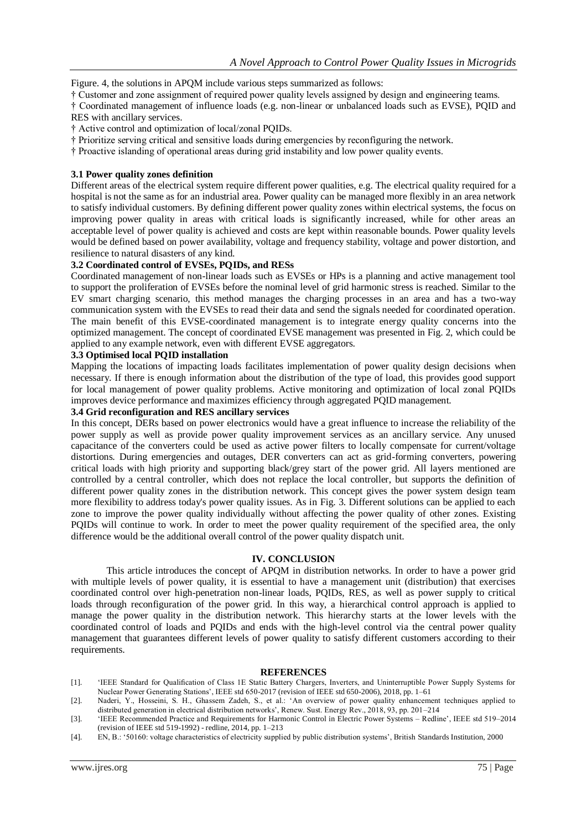Figure. 4, the solutions in APQM include various steps summarized as follows:

† Customer and zone assignment of required power quality levels assigned by design and engineering teams.

† Coordinated management of influence loads (e.g. non-linear or unbalanced loads such as EVSE), PQID and RES with ancillary services.

† Active control and optimization of local/zonal PQIDs.

- † Prioritize serving critical and sensitive loads during emergencies by reconfiguring the network.
- † Proactive islanding of operational areas during grid instability and low power quality events.

#### **3.1 Power quality zones definition**

Different areas of the electrical system require different power qualities, e.g. The electrical quality required for a hospital is not the same as for an industrial area. Power quality can be managed more flexibly in an area network to satisfy individual customers. By defining different power quality zones within electrical systems, the focus on improving power quality in areas with critical loads is significantly increased, while for other areas an acceptable level of power quality is achieved and costs are kept within reasonable bounds. Power quality levels would be defined based on power availability, voltage and frequency stability, voltage and power distortion, and resilience to natural disasters of any kind.

# **3.2 Coordinated control of EVSEs, PQIDs, and RESs**

Coordinated management of non-linear loads such as EVSEs or HPs is a planning and active management tool to support the proliferation of EVSEs before the nominal level of grid harmonic stress is reached. Similar to the EV smart charging scenario, this method manages the charging processes in an area and has a two-way communication system with the EVSEs to read their data and send the signals needed for coordinated operation. The main benefit of this EVSE-coordinated management is to integrate energy quality concerns into the optimized management. The concept of coordinated EVSE management was presented in Fig. 2, which could be applied to any example network, even with different EVSE aggregators.

# **3.3 Optimised local PQID installation**

Mapping the locations of impacting loads facilitates implementation of power quality design decisions when necessary. If there is enough information about the distribution of the type of load, this provides good support for local management of power quality problems. Active monitoring and optimization of local zonal PQIDs improves device performance and maximizes efficiency through aggregated PQID management.

# **3.4 Grid reconfiguration and RES ancillary services**

In this concept, DERs based on power electronics would have a great influence to increase the reliability of the power supply as well as provide power quality improvement services as an ancillary service. Any unused capacitance of the converters could be used as active power filters to locally compensate for current/voltage distortions. During emergencies and outages, DER converters can act as grid-forming converters, powering critical loads with high priority and supporting black/grey start of the power grid. All layers mentioned are controlled by a central controller, which does not replace the local controller, but supports the definition of different power quality zones in the distribution network. This concept gives the power system design team more flexibility to address today's power quality issues. As in Fig. 3. Different solutions can be applied to each zone to improve the power quality individually without affecting the power quality of other zones. Existing PQIDs will continue to work. In order to meet the power quality requirement of the specified area, the only difference would be the additional overall control of the power quality dispatch unit.

# **IV. CONCLUSION**

This article introduces the concept of APQM in distribution networks. In order to have a power grid with multiple levels of power quality, it is essential to have a management unit (distribution) that exercises coordinated control over high-penetration non-linear loads, PQIDs, RES, as well as power supply to critical loads through reconfiguration of the power grid. In this way, a hierarchical control approach is applied to manage the power quality in the distribution network. This hierarchy starts at the lower levels with the coordinated control of loads and PQIDs and ends with the high-level control via the central power quality management that guarantees different levels of power quality to satisfy different customers according to their requirements.

#### **REFERENCES**

- [1]. 'IEEE Standard for Qualification of Class 1E Static Battery Chargers, Inverters, and Uninterruptible Power Supply Systems for Nuclear Power Generating Stations', IEEE std 650-2017 (revision of IEEE std 650-2006), 2018, pp. 1–61
- [2]. Naderi, Y., Hosseini, S. H., Ghassem Zadeh, S., et al.: 'An overview of power quality enhancement techniques applied to distributed generation in electrical distribution networks', Renew. Sust. Energy Rev., 2018, 93, pp. 201–214
- [3]. 'IEEE Recommended Practice and Requirements for Harmonic Control in Electric Power Systems Redline', IEEE std 519–2014 (revision of IEEE std 519-1992) - redline, 2014, pp. 1–213
- [4]. EN, B.: '50160: voltage characteristics of electricity supplied by public distribution systems', British Standards Institution, 2000